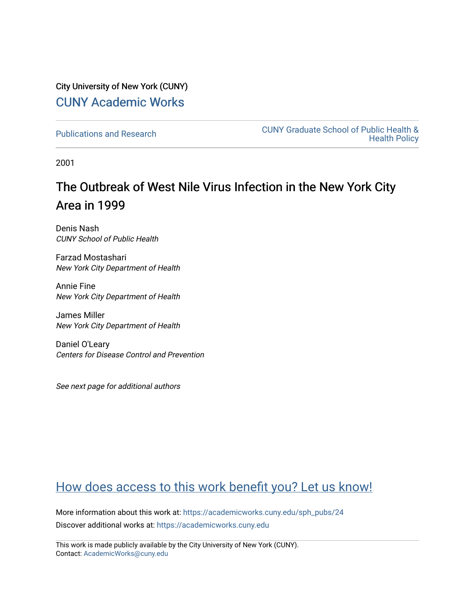## City University of New York (CUNY) [CUNY Academic Works](https://academicworks.cuny.edu/)

[Publications and Research](https://academicworks.cuny.edu/sph_pubs) [CUNY Graduate School of Public Health &](https://academicworks.cuny.edu/sph)  [Health Policy](https://academicworks.cuny.edu/sph) 

2001

# The Outbreak of West Nile Virus Infection in the New York City Area in 1999

Denis Nash CUNY School of Public Health

Farzad Mostashari New York City Department of Health

Annie Fine New York City Department of Health

James Miller New York City Department of Health

Daniel O'Leary Centers for Disease Control and Prevention

See next page for additional authors

## [How does access to this work benefit you? Let us know!](http://ols.cuny.edu/academicworks/?ref=https://academicworks.cuny.edu/sph_pubs/24)

More information about this work at: [https://academicworks.cuny.edu/sph\\_pubs/24](https://academicworks.cuny.edu/sph_pubs/24) Discover additional works at: [https://academicworks.cuny.edu](https://academicworks.cuny.edu/?)

This work is made publicly available by the City University of New York (CUNY). Contact: [AcademicWorks@cuny.edu](mailto:AcademicWorks@cuny.edu)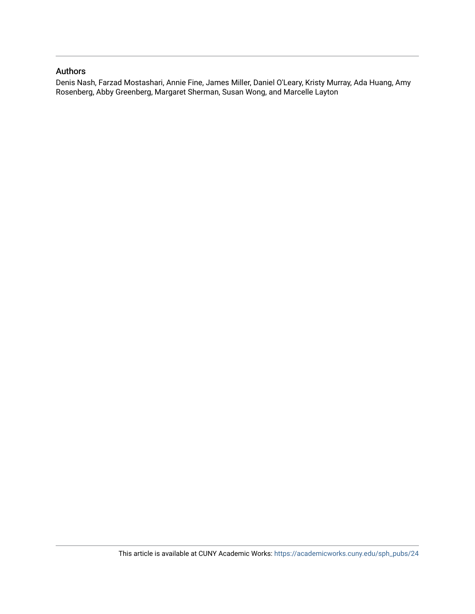## Authors

Denis Nash, Farzad Mostashari, Annie Fine, James Miller, Daniel O'Leary, Kristy Murray, Ada Huang, Amy Rosenberg, Abby Greenberg, Margaret Sherman, Susan Wong, and Marcelle Layton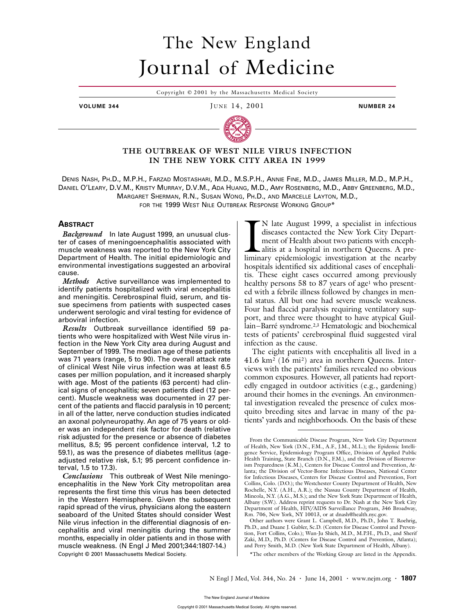# The New England Journal of Medicine

Copyright © 2001 by the Massachusetts Medical Society

**VOLUME 344 IUNE 14, 2001 NUMBER 24** 



### **THE OUTBREAK OF WEST NILE VIRUS INFECTION IN THE NEW YORK CITY AREA IN 1999**

DENIS NASH, PH.D., M.P.H., FARZAD MOSTASHARI, M.D., M.S.P.H., ANNIE FINE, M.D., JAMES MILLER, M.D., M.P.H., DANIEL O'LEARY, D.V.M., KRISTY MURRAY, D.V.M., ADA HUANG, M.D., AMY ROSENBERG, M.D., ABBY GREENBERG, M.D., MARGARET SHERMAN, R.N., SUSAN WONG, PH.D., AND MARCELLE LAYTON, M.D., FOR THE 1999 WEST NILE OUTBREAK RESPONSE WORKING GROUP\*

#### **ABSTRACT**

*Background* In late August 1999, an unusual cluster of cases of meningoencephalitis associated with muscle weakness was reported to the New York City Department of Health. The initial epidemiologic and environmental investigations suggested an arboviral cause.

*Methods* Active surveillance was implemented to identify patients hospitalized with viral encephalitis and meningitis. Cerebrospinal fluid, serum, and tissue specimens from patients with suspected cases underwent serologic and viral testing for evidence of arboviral infection.

*Results* Outbreak surveillance identified 59 patients who were hospitalized with West Nile virus infection in the New York City area during August and September of 1999. The median age of these patients was 71 years (range, 5 to 90). The overall attack rate of clinical West Nile virus infection was at least 6.5 cases per million population, and it increased sharply with age. Most of the patients (63 percent) had clinical signs of encephalitis; seven patients died (12 percent). Muscle weakness was documented in 27 percent of the patients and flaccid paralysis in 10 percent; in all of the latter, nerve conduction studies indicated an axonal polyneuropathy. An age of 75 years or older was an independent risk factor for death (relative risk adjusted for the presence or absence of diabetes mellitus, 8.5; 95 percent confidence interval, 1.2 to 59.1), as was the presence of diabetes mellitus (ageadjusted relative risk, 5.1; 95 percent confidence interval, 1.5 to 17.3).

*Conclusions* This outbreak of West Nile meningoencephalitis in the New York City metropolitan area represents the first time this virus has been detected in the Western Hemisphere. Given the subsequent rapid spread of the virus, physicians along the eastern seaboard of the United States should consider West Nile virus infection in the differential diagnosis of encephalitis and viral meningitis during the summer months, especially in older patients and in those with muscle weakness. (N Engl J Med 2001;344:1807-14.) Copyright © 2001 Massachusetts Medical Society.

N late August 1999, a specialist in infectious diseases contacted the New York City Department of Health about two patients with encephalitis at a hospital in northern Queens. A pre-N late August 1999, a specialist in infectious diseases contacted the New York City Department of Health about two patients with encephalitis at a hospital in northern Queens. A preliminary epidemiologic investigation at t hospitals identified six additional cases of encephalitis. These eight cases occurred among previously healthy persons  $58$  to  $87$  years of age<sup>1</sup> who presented with a febrile illness followed by changes in mental status. All but one had severe muscle weakness. Four had flaccid paralysis requiring ventilatory support, and three were thought to have atypical Guillain–Barré syndrome.<sup>2,3</sup> Hematologic and biochemical tests of patients' cerebrospinal fluid suggested viral infection as the cause.

The eight patients with encephalitis all lived in a 41.6 km2 (16 mi2) area in northern Queens. Interviews with the patients' families revealed no obvious common exposures. However, all patients had reportedly engaged in outdoor activities (e.g., gardening) around their homes in the evenings. An environmental investigation revealed the presence of culex mosquito breeding sites and larvae in many of the patients' yards and neighborhoods. On the basis of these

\*The other members of the Working Group are listed in the Appendix.

From the Communicable Disease Program, New York City Department of Health, New York (D.N., F.M., A.F., J.M., M.L.); the Epidemic Intelligence Service, Epidemiology Program Office, Division of Applied Public Health Training, State Branch (D.N., F.M.), and the Division of Bioterrorism Preparedness (K.M.), Centers for Disease Control and Prevention, Atlanta; the Division of Vector-Borne Infectious Diseases, National Center for Infectious Diseases, Centers for Disease Control and Prevention, Fort Collins, Colo. (D.O.); the Westchester County Department of Health, New Rochelle, N.Y. (A.H., A.R.); the Nassau County Department of Health, Mineola, N.Y. (A.G., M.S.); and the New York State Department of Health, Albany (S.W.). Address reprint requests to Dr. Nash at the New York City Department of Health, HIV/AIDS Surveillance Program, 346 Broadway, Rm. 706, New York, NY 10013, or at dnash@health.nyc.gov.

Other authors were Grant L. Campbell, M.D., Ph.D., John T. Roehrig, Ph.D., and Duane J. Gubler, Sc.D. (Centers for Disease Control and Prevention, Fort Collins, Colo.); Wun-Ju Shieh, M.D., M.P.H., Ph.D., and Sherif Zaki, M.D., Ph.D. (Centers for Disease Control and Prevention, Atlanta); and Perry Smith, M.D. (New York State Department of Health, Albany).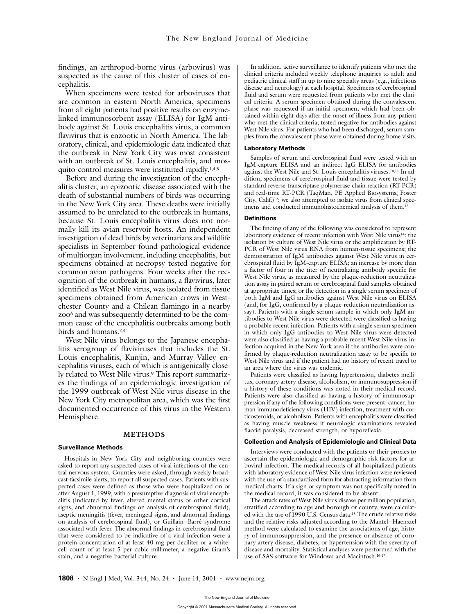findings, an arthropod-borne virus (arbovirus) was suspected as the cause of this cluster of cases of encephalitis.

When specimens were tested for arboviruses that are common in eastern North America, specimens from all eight patients had positive results on enzymelinked immunosorbent assay (ELISA) for IgM antibody against St. Louis encephalitis virus, a common flavivirus that is enzootic in North America. The laboratory, clinical, and epidemiologic data indicated that the outbreak in New York City was most consistent with an outbreak of St. Louis encephalitis, and mosquito-control measures were instituted rapidly.1,4,5

Before and during the investigation of the encephalitis cluster, an epizootic disease associated with the death of substantial numbers of birds was occurring in the New York City area. These deaths were initially assumed to be unrelated to the outbreak in humans, because St. Louis encephalitis virus does not normally kill its avian reservoir hosts. An independent investigation of dead birds by veterinarians and wildlife specialists in September found pathological evidence of multiorgan involvement, including encephalitis, but specimens obtained at necropsy tested negative for common avian pathogens. Four weeks after the recognition of the outbreak in humans, a flavivirus, later identified as West Nile virus, was isolated from tissue specimens obtained from American crows in Westchester County and a Chilean flamingo in a nearby zoo<sup>6</sup> and was subsequently determined to be the common cause of the encephalitis outbreaks among both birds and humans.7,8

West Nile virus belongs to the Japanese encephalitis serogroup of flaviviruses that includes the St. Louis encephalitis, Kunjin, and Murray Valley encephalitis viruses, each of which is antigenically closely related to West Nile virus.<sup>9</sup> This report summarizes the findings of an epidemiologic investigation of the 1999 outbreak of West Nile virus disease in the New York City metropolitan area, which was the first documented occurrence of this virus in the Western Hemisphere.

#### **METHODS**

#### **Surveillance Methods**

Hospitals in New York City and neighboring counties were asked to report any suspected cases of viral infections of the central nervous system. Counties were asked, through weekly broadcast-facsimile alerts, to report all suspected cases. Patients with suspected cases were defined as those who were hospitalized on or after August 1, 1999, with a presumptive diagnosis of viral encephalitis (indicated by fever, altered mental status or other cortical signs, and abnormal findings on analysis of cerebrospinal fluid), aseptic meningitis (fever, meningeal signs, and abnormal findings on analysis of cerebrospinal fluid), or Guillain–Barré syndrome associated with fever. The abnormal findings in cerebrospinal fluid that were considered to be indicative of a viral infection were a protein concentration of at least 40 mg per deciliter or a whitecell count of at least 5 per cubic millimeter, a negative Gram's stain, and a negative bacterial culture.

In addition, active surveillance to identify patients who met the clinical criteria included weekly telephone inquiries to adult and pediatric clinical staff in up to nine specialty areas (e.g., infectious disease and neurology) at each hospital. Specimens of cerebrospinal fluid and serum were requested from patients who met the clinical criteria. A serum specimen obtained during the convalescent phase was requested if an initial specimen, which had been obtained within eight days after the onset of illness from any patient who met the clinical criteria, tested negative for antibodies against West Nile virus. For patients who had been discharged, serum samples from the convalescent phase were obtained during home visits.

#### **Laboratory Methods**

Samples of serum and cerebrospinal fluid were tested with an IgM-capture ELISA and an indirect IgG ELISA for antibodies against the West Nile and St. Louis encephalitis viruses.10,11 In addition, specimens of cerebrospinal fluid and tissue were tested by standard reverse-transcriptase polymerase chain reaction (RT-PCR) and real-time RT-PCR (TaqMan, PE Applied Biosystems, Foster City, Calif.)12; we also attempted to isolate virus from clinical specimens and conducted immunohistochemical analysis of them.13

#### **Definitions**

The finding of any of the following was considered to represent laboratory evidence of recent infection with West Nile virus<sup>14</sup>: the isolation by culture of West Nile virus or the amplification by RT-PCR of West Nile virus RNA from human-tissue specimens; the demonstration of IgM antibodies against West Nile virus in cerebrospinal fluid by IgM-capture ELISA; an increase by more than a factor of four in the titer of neutralizing antibody specific for West Nile virus, as measured by the plaque-reduction neutralization assay in paired serum or cerebrospinal fluid samples obtained at appropriate times; or the detection in a single serum specimen of both IgM and IgG antibodies against West Nile virus on ELISA (and, for IgG, confirmed by a plaque-reduction neutralization assay). Patients with a single serum sample in which only IgM antibodies to West Nile virus were detected were classified as having a probable recent infection. Patients with a single serum specimen in which only IgG antibodies to West Nile virus were detected were also classified as having a probable recent West Nile virus infection acquired in the New York area if the antibodies were confirmed by plaque-reduction neutralization assay to be specific to West Nile virus and if the patient had no history of recent travel to an area where the virus was endemic.

Patients were classified as having hypertension, diabetes mellitus, coronary artery disease, alcoholism, or immunosuppression if a history of these conditions was noted in their medical record. Patients were also classified as having a history of immunosuppression if any of the following conditions were present: cancer, human immunodeficiency virus (HIV) infection, treatment with corticosteroids, or alcoholism. Patients with encephalitis were classified as having muscle weakness if neurologic examinations revealed flaccid paralysis, decreased strength, or hyporeflexia.

#### **Collection and Analysis of Epidemiologic and Clinical Data**

Interviews were conducted with the patients or their proxies to ascertain the epidemiologic and demographic risk factors for arboviral infection. The medical records of all hospitalized patients with laboratory evidence of West Nile virus infection were reviewed with the use of a standardized form for abstracting information from medical charts. If a sign or symptom was not specifically noted in the medical record, it was considered to be absent.

The attack rates of West Nile virus disease per million population, stratified according to age and borough or county, were calculated with the use of 1990 U.S. Census data.15 The crude relative risks and the relative risks adjusted according to the Mantel–Haenszel method were calculated to examine the associations of age, history of immunosuppression, and the presence or absence of coronary artery disease, diabetes, or hypertension with the severity of disease and mortality. Statistical analyses were performed with the use of SAS software for Windows and Macintosh.16,17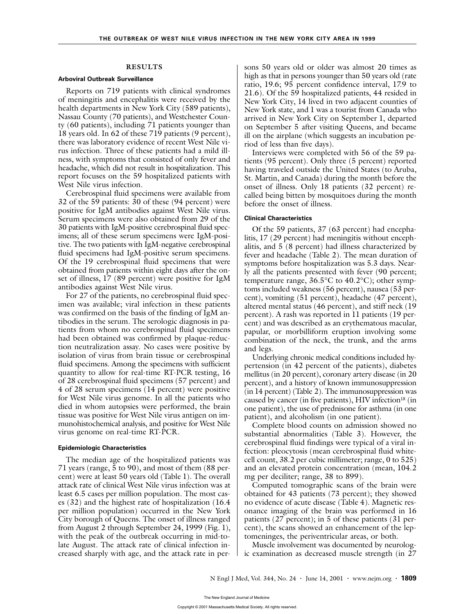#### **RESULTS**

#### **Arboviral Outbreak Surveillance**

Reports on 719 patients with clinical syndromes of meningitis and encephalitis were received by the health departments in New York City (589 patients), Nassau County (70 patients), and Westchester County (60 patients), including 71 patients younger than 18 years old. In 62 of these 719 patients (9 percent), there was laboratory evidence of recent West Nile virus infection. Three of these patients had a mild illness, with symptoms that consisted of only fever and headache, which did not result in hospitalization. This report focuses on the 59 hospitalized patients with West Nile virus infection.

Cerebrospinal fluid specimens were available from 32 of the 59 patients: 30 of these (94 percent) were positive for IgM antibodies against West Nile virus. Serum specimens were also obtained from 29 of the 30 patients with IgM-positive cerebrospinal fluid specimens; all of these serum specimens were IgM-positive. The two patients with IgM-negative cerebrospinal fluid specimens had IgM-positive serum specimens. Of the 19 cerebrospinal fluid specimens that were obtained from patients within eight days after the onset of illness, 17 (89 percent) were positive for IgM antibodies against West Nile virus.

For 27 of the patients, no cerebrospinal fluid specimen was available; viral infection in these patients was confirmed on the basis of the finding of IgM antibodies in the serum. The serologic diagnosis in patients from whom no cerebrospinal fluid specimens had been obtained was confirmed by plaque-reduction neutralization assay. No cases were positive by isolation of virus from brain tissue or cerebrospinal fluid specimens. Among the specimens with sufficient quantity to allow for real-time RT-PCR testing, 16 of 28 cerebrospinal fluid specimens (57 percent) and 4 of 28 serum specimens (14 percent) were positive for West Nile virus genome. In all the patients who died in whom autopsies were performed, the brain tissue was positive for West Nile virus antigen on immunohistochemical analysis, and positive for West Nile virus genome on real-time RT-PCR.

#### **Epidemiologic Characteristics**

The median age of the hospitalized patients was 71 years (range, 5 to 90), and most of them (88 percent) were at least 50 years old (Table 1). The overall attack rate of clinical West Nile virus infection was at least 6.5 cases per million population. The most cases (32) and the highest rate of hospitalization (16.4 per million population) occurred in the New York City borough of Queens. The onset of illness ranged from August 2 through September 24, 1999 (Fig. 1), with the peak of the outbreak occurring in mid-tolate August. The attack rate of clinical infection increased sharply with age, and the attack rate in persons 50 years old or older was almost 20 times as high as that in persons younger than 50 years old (rate ratio, 19.6; 95 percent confidence interval, 17.9 to 21.6). Of the 59 hospitalized patients, 44 resided in New York City, 14 lived in two adjacent counties of New York state, and 1 was a tourist from Canada who arrived in New York City on September 1, departed on September 5 after visiting Queens, and became ill on the airplane (which suggests an incubation period of less than five days).

Interviews were completed with 56 of the 59 patients (95 percent). Only three (5 percent) reported having traveled outside the United States (to Aruba, St. Martin, and Canada) during the month before the onset of illness. Only 18 patients (32 percent) recalled being bitten by mosquitoes during the month before the onset of illness.

#### **Clinical Characteristics**

Of the 59 patients, 37 (63 percent) had encephalitis, 17 (29 percent) had meningitis without encephalitis, and 5 (8 percent) had illness characterized by fever and headache (Table 2). The mean duration of symptoms before hospitalization was 5.3 days. Nearly all the patients presented with fever (90 percent; temperature range, 36.5°C to 40.2°C); other symptoms included weakness (56 percent), nausea (53 percent), vomiting (51 percent), headache (47 percent), altered mental status (46 percent), and stiff neck (19 percent). A rash was reported in 11 patients (19 percent) and was described as an erythematous macular, papular, or morbilliform eruption involving some combination of the neck, the trunk, and the arms and legs.

Underlying chronic medical conditions included hypertension (in 42 percent of the patients), diabetes mellitus (in 20 percent), coronary artery disease (in 20 percent), and a history of known immunosuppression (in 14 percent) (Table 2). The immunosuppression was caused by cancer (in five patients), HIV infection<sup>18</sup> (in one patient), the use of prednisone for asthma (in one patient), and alcoholism (in one patient).

Complete blood counts on admission showed no substantial abnormalities (Table 3). However, the cerebrospinal fluid findings were typical of a viral infection: pleocytosis (mean cerebrospinal fluid whitecell count, 38.2 per cubic millimeter; range, 0 to 525) and an elevated protein concentration (mean, 104.2 mg per deciliter; range, 38 to 899).

Computed tomographic scans of the brain were obtained for 43 patients (73 percent); they showed no evidence of acute disease (Table 4). Magnetic resonance imaging of the brain was performed in 16 patients (27 percent); in 5 of these patients (31 percent), the scans showed an enhancement of the leptomeninges, the periventricular areas, or both.

Muscle involvement was documented by neurologic examination as decreased muscle strength (in 27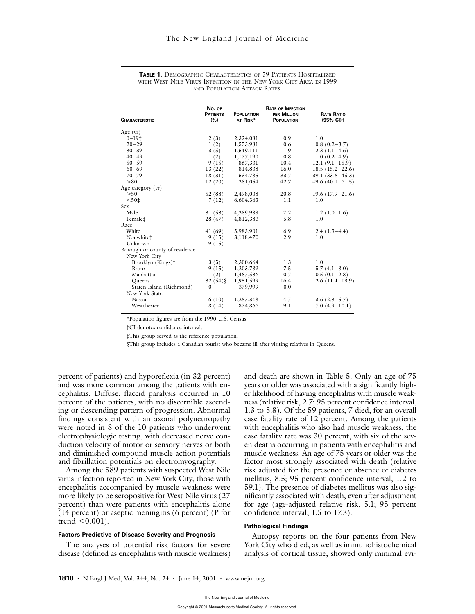| <b>CHARACTERISTIC</b>          | No. OF<br><b>PATIENTS</b><br>(%) | <b>POPULATION</b><br>AT RISK* | <b>RATE OF INFECTION</b><br>PER MILLION<br><b>POPULATION</b> | <b>RATE RATIO</b><br>(95% CI) t |
|--------------------------------|----------------------------------|-------------------------------|--------------------------------------------------------------|---------------------------------|
| Age $(yr)$                     |                                  |                               |                                                              |                                 |
| $0 - 19t$                      | 2(3)                             | 2,324,081                     | 0.9                                                          | 1.0                             |
| $20 - 29$                      | 1(2)                             | 1,553,981                     | 0.6                                                          | $0.8(0.2-3.7)$                  |
| $30 - 39$                      | 3(5)                             | 1,549,111                     | 1.9                                                          | $2.3(1.1-4.6)$                  |
| $40 - 49$                      | 1(2)                             | 1,177,190                     | 0.8                                                          | $1.0(0.2-4.9)$                  |
| $50 - 59$                      | 9(15)                            | 867,331                       | 10.4                                                         | $12.1(9.1-15.9)$                |
| $60 - 69$                      | 13(22)                           | 814,838                       | 16.0                                                         | $18.5(15.2-22.6)$               |
| $70 - 79$                      | 18(31)                           | 534,785                       | 33.7                                                         | $39.1(33.8 - 45.3)$             |
| $\geq 80$                      | 12(20)                           | 281,054                       | 42.7                                                         | $49.6(40.1-61.5)$               |
| Age category (yr)              |                                  |                               |                                                              |                                 |
| $\geqslant 50$                 | 52(88)                           | 2,498,008                     | 20.8                                                         | $19.6(17.9-21.6)$               |
| $501$                          | 7(12)                            | 6,604,363                     | 1.1                                                          | 1.0                             |
| Sex                            |                                  |                               |                                                              |                                 |
| Male                           | 31(53)                           | 4,289,988                     | 7.2                                                          | $1.2(1.0-1.6)$                  |
| Female <sup>+</sup>            | 28 (47)                          | 4,812,383                     | 5.8                                                          | 1.0                             |
| Race                           |                                  |                               |                                                              |                                 |
| White                          | 41(69)                           | 5,983,901                     | 6.9                                                          | $2.4(1.3-4.4)$                  |
| Nonwhitet                      | 9(15)                            | 3,118,470                     | 2.9                                                          | 1.0                             |
| Unknown                        | 9(15)                            |                               |                                                              |                                 |
| Borough or county of residence |                                  |                               |                                                              |                                 |
| New York City                  |                                  |                               |                                                              |                                 |
| Brooklyn (Kings)‡              | 3(5)                             | 2,300,664                     | 1.3                                                          | 1.0                             |
| <b>Bronx</b>                   | 9(15)                            | 1,203,789                     | 7.5                                                          | $5.7(4.1 - 8.0)$                |
| Manhattan                      | 1(2)                             | 1,487,536                     | 0.7                                                          | $0.5(0.1-2.8)$                  |
| Oueens                         | $32(54)$ §                       | 1,951,599                     | 16.4                                                         | $12.6(11.4-13.9)$               |
| Staten Island (Richmond)       | $\Omega$                         | 379,999                       | 0.0                                                          |                                 |
| New York State                 |                                  |                               |                                                              |                                 |
| Nassau                         | 6(10)                            | 1,287,348                     | 4.7                                                          | $3.6(2.3-5.7)$                  |
| Westchester                    | 8(14)                            | 874,866                       | 9.1                                                          | $7.0(4.9-10.1)$                 |
|                                |                                  |                               |                                                              |                                 |

**TABLE 1.** DEMOGRAPHIC CHARACTERISTICS OF 59 PATIENTS HOSPITALIZED WITH WEST NILE VIRUS INFECTION IN THE NEW YORK CITY AREA IN 1999 AND POPULATION ATTACK RATES.

\*Population figures are from the 1990 U.S. Census.

†CI denotes confidence interval.

‡This group served as the reference population.

§This group includes a Canadian tourist who became ill after visiting relatives in Queens.

percent of patients) and hyporeflexia (in 32 percent) and was more common among the patients with encephalitis. Diffuse, flaccid paralysis occurred in 10 percent of the patients, with no discernible ascending or descending pattern of progression. Abnormal findings consistent with an axonal polyneuropathy were noted in 8 of the 10 patients who underwent electrophysiologic testing, with decreased nerve conduction velocity of motor or sensory nerves or both and diminished compound muscle action potentials and fibrillation potentials on electromyography.

Among the 589 patients with suspected West Nile virus infection reported in New York City, those with encephalitis accompanied by muscle weakness were more likely to be seropositive for West Nile virus (27 percent) than were patients with encephalitis alone (14 percent) or aseptic meningitis (6 percent) (P for trend  $\leq 0.001$ ).

#### **Factors Predictive of Disease Severity and Prognosis**

The analyses of potential risk factors for severe disease (defined as encephalitis with muscle weakness) and death are shown in Table 5. Only an age of 75 years or older was associated with a significantly higher likelihood of having encephalitis with muscle weakness (relative risk, 2.7; 95 percent confidence interval, 1.3 to 5.8). Of the 59 patients, 7 died, for an overall case fatality rate of 12 percent. Among the patients with encephalitis who also had muscle weakness, the case fatality rate was 30 percent, with six of the seven deaths occurring in patients with encephalitis and muscle weakness. An age of 75 years or older was the factor most strongly associated with death (relative risk adjusted for the presence or absence of diabetes mellitus, 8.5; 95 percent confidence interval, 1.2 to 59.1). The presence of diabetes mellitus was also significantly associated with death, even after adjustment for age (age-adjusted relative risk, 5.1; 95 percent confidence interval, 1.5 to 17.3).

#### **Pathological Findings**

Autopsy reports on the four patients from New York City who died, as well as immunohistochemical analysis of cortical tissue, showed only minimal evi-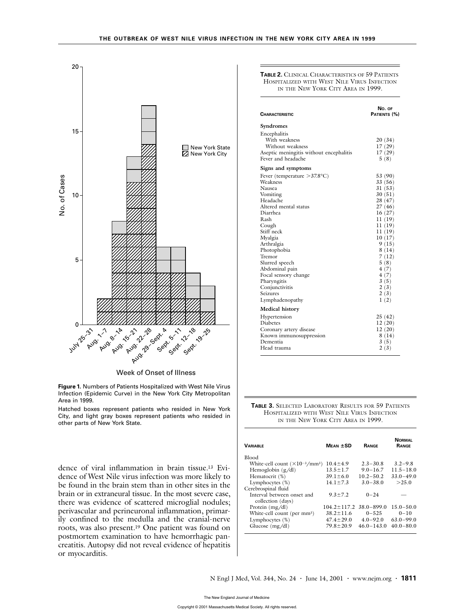

Week of Onset of Illness

**Figure 1.** Numbers of Patients Hospitalized with West Nile Virus Infection (Epidemic Curve) in the New York City Metropolitan Area in 1999.

Hatched boxes represent patients who resided in New York City, and light gray boxes represent patients who resided in other parts of New York State.

dence of viral inflammation in brain tissue.13 Evidence of West Nile virus infection was more likely to be found in the brain stem than in other sites in the brain or in extraneural tissue. In the most severe case, there was evidence of scattered microglial nodules; perivascular and perineuronal inflammation, primarily confined to the medulla and the cranial-nerve roots, was also present.19 One patient was found on postmortem examination to have hemorrhagic pancreatitis. Autopsy did not reveal evidence of hepatitis or myocarditis.

**TABLE 2.** CLINICAL CHARACTERISTICS OF 59 PATIENTS HOSPITALIZED WITH WEST NILE VIRUS INFECTION IN THE NEW YORK CITY AREA IN 1999.

| <b>CHARACTERISTIC</b>                                                                                                                                                                                                                                                                                                          | No. OF<br>Patients (%)                                                                                                                                                                            |
|--------------------------------------------------------------------------------------------------------------------------------------------------------------------------------------------------------------------------------------------------------------------------------------------------------------------------------|---------------------------------------------------------------------------------------------------------------------------------------------------------------------------------------------------|
| Syndromes                                                                                                                                                                                                                                                                                                                      |                                                                                                                                                                                                   |
| Encephalitis<br>With weakness<br>Without weakness<br>Aseptic meningitis without encephalitis<br>Fever and headache                                                                                                                                                                                                             | 20(34)<br>17(29)<br>17(29)<br>5(8)                                                                                                                                                                |
| Signs and symptoms                                                                                                                                                                                                                                                                                                             |                                                                                                                                                                                                   |
| Fever (temperature $>37.8$ °C)<br>Weakness<br>Nausea<br>Vomiting<br>Headache<br>Altered mental status<br>Diarrhea<br>Rash<br>Cough<br>Stiff neck<br>Myalgia<br>Arthralgia<br>Photophobia<br>Tremor<br>Slurred speech<br>Abdominal pain<br>Focal sensory change<br>Pharyngitis<br>Conjunctivitis<br>Seizures<br>Lymphadenopathy | 53 (90)<br>33 (56)<br>31(53)<br>30(51)<br>28 (47)<br>27(46)<br>16(27)<br>11 (19)<br>11(19)<br>11(19)<br>10(17)<br>9(15)<br>8(14)<br>7(12)<br>5(8)<br>4(7)<br>4(7)<br>3(5)<br>2(3)<br>2(3)<br>1(2) |
| <b>Medical history</b>                                                                                                                                                                                                                                                                                                         |                                                                                                                                                                                                   |
| Hypertension<br>Diabetes<br>Coronary artery disease<br>Known immunosuppression<br>Dementia<br>Head trauma                                                                                                                                                                                                                      | 25(42)<br>12(20)<br>12(20)<br>8(14)<br>3(5)<br>2(3)                                                                                                                                               |

**TABLE 3.** SELECTED LABORATORY RESULTS FOR 59 PATIENTS HOSPITALIZED WITH WEST NILE VIRUS INFECTION IN THE NEW YORK CITY AREA IN 1999.

| <b><i>VARIABLE</i></b>                          | $Mean$ $\pm$ SD   | <b>RANGE</b>   | <b>NORMAL</b><br><b>RANGE</b> |
|-------------------------------------------------|-------------------|----------------|-------------------------------|
| <b>Blood</b>                                    |                   |                |                               |
| White-cell count $(\times 10^{-3}/\text{mm}^3)$ | $10.4 \pm 4.9$    | $2.3 - 30.8$   | $3.2 - 9.8$                   |
| Hemoglobin $(g/dl)$                             | $13.5 \pm 1.7$    | $9.0 - 16.7$   | $11.5 - 18.0$                 |
| Hematocrit (%)                                  | $39.1 \pm 6.0$    | $10.2 - 50.2$  | $33.0 - 49.0$                 |
| Lymphocytes (%)                                 | $14.1 \pm 7.3$    | $3.0 - 38.0$   | >25.0                         |
| Cerebrospinal fluid                             |                   |                |                               |
| Interval between onset and<br>collection (days) | $9.3 \pm 7.2$     | $0 - 24$       |                               |
| Protein $(mg/dl)$                               | $104.2 \pm 117.2$ | $38.0 - 899.0$ | $15.0 - 50.0$                 |
| White-cell count (per mm <sup>3</sup> )         | $38.2 \pm 11.6$   | $0 - 525$      | $0 - 10$                      |
| Lymphocytes $(\%)$                              | $47.4 \pm 29.0$   | $4.0 - 92.0$   | $63.0 - 99.0$                 |
| Glucose $(mg/dl)$                               | $79.8 \pm 20.9$   | $46.0 - 143.0$ | $40.0 - 80.0$                 |
|                                                 |                   |                |                               |

N Engl J Med, Vol. 344, No. 24 **·** June 14, 2001 **·** www.nejm.org **· 1811**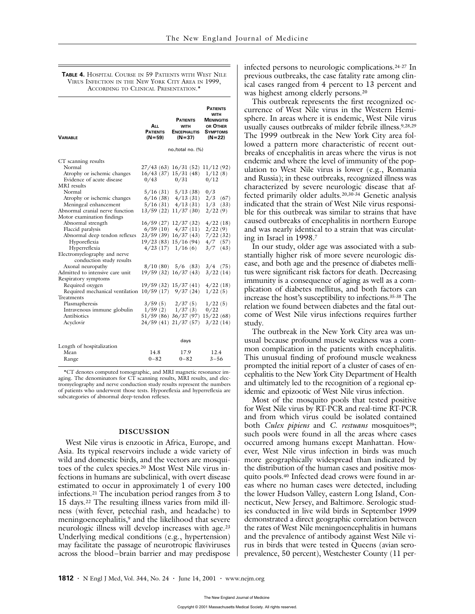#### **TABLE 4.** HOSPITAL COURSE IN 59 PATIENTS WITH WEST NILE VIRUS INFECTION IN THE NEW YORK CITY AREA IN 1999, ACCORDING TO CLINICAL PRESENTATION<sup>\*</sup>

| <b><i>VARIABLE</i></b>                                                                                                                                                                                                                                                                                                                                                                                                                                                                                                                                                                                                                                                    | <b>A</b> LL<br><b>PATIENTS</b><br>(N=59) | <b>PATIENTS</b><br><b>WITH</b><br><b>ENCEPHALITIS</b><br>$(N=37)$                                                                                                                                                                                                                                                                                                                                                                                                                                                                   | <b>PATIENTS</b><br><b>WITH</b><br><b>MENINGITIS</b><br>OR OTHER<br><b>SYMPTOMS</b><br>$(N = 22)$                                                                           |
|---------------------------------------------------------------------------------------------------------------------------------------------------------------------------------------------------------------------------------------------------------------------------------------------------------------------------------------------------------------------------------------------------------------------------------------------------------------------------------------------------------------------------------------------------------------------------------------------------------------------------------------------------------------------------|------------------------------------------|-------------------------------------------------------------------------------------------------------------------------------------------------------------------------------------------------------------------------------------------------------------------------------------------------------------------------------------------------------------------------------------------------------------------------------------------------------------------------------------------------------------------------------------|----------------------------------------------------------------------------------------------------------------------------------------------------------------------------|
|                                                                                                                                                                                                                                                                                                                                                                                                                                                                                                                                                                                                                                                                           |                                          | no./total no. (%)                                                                                                                                                                                                                                                                                                                                                                                                                                                                                                                   |                                                                                                                                                                            |
| CT scanning results<br>Normal<br>Atrophy or ischemic changes<br>Evidence of acute disease<br>MRI results<br>Normal<br>Atrophy or ischemic changes<br>Meningeal enhancement<br>Abnormal cranial nerve function<br>Motor examination findings<br>Abnormal strength<br>Flaccid paralysis<br>Abnormal deep tendon reflexes<br>Hyporeflexia<br>Hyperreflexia<br>Electromyelography and nerve<br>conduction study results<br>Axonal neuropathy<br>Admitted to intensive care unit<br>Respiratory symptoms<br>Required oxygen<br>Required mechanical ventilation 10/59 (17) 9/37 (24)<br>Treatments<br>Plasmapheresis<br>Intravenous immune globulin<br>Antibiotics<br>Acyclovir | 0/43<br>8/10(80)                         | 27/43(63)16/31(52)11/12(92)<br>$16/43$ (37) $15/31$ (48) $1/12$ (8)<br>0/31<br>$5/16$ (31) $5/13$ (38)<br>$6/16$ (38) $4/13$ (31)<br>$5/16(31)$ $4/13(31)$<br>$13/59(22)$ $11/37(30)$<br>$16/59$ (27) $12/37$ (32)<br>$6/59(10)$ $4/37(11)$<br>$23/59$ (39) $16/37$ (43)<br>19/23(83) 15/16(94)<br>$4/23$ (17) $1/16$ (6)<br>$5/6$ (83)<br>$19/59(32)$ $16/37(43)$<br>$19/59$ (32) $15/37$ (41) $4/22$ (18)<br>$3/59(5)$ $2/37(5)$<br>$1/59(2)$ $1/37(3)$<br>$51/59(86)$ $36/37(97)$ $15/22(68)$<br>24/59 (41) 21/37 (57) 3/22 (14) | 0/12<br>0/3<br>$2/3$ (67)<br>$1/3$ (33)<br>2/22(9)<br>4/22(18)<br>2/22(9)<br>7/22(32)<br>$4/7$ (57)<br>3/7<br>(43)<br>$3/4$ (75)<br>3/22(14)<br>1/22(5)<br>1/22(5)<br>0/22 |
| Length of hospitalization<br>Mean<br>Range                                                                                                                                                                                                                                                                                                                                                                                                                                                                                                                                                                                                                                | 14.8<br>$0 - 82$                         | days<br>17.9<br>$0 - 82$                                                                                                                                                                                                                                                                                                                                                                                                                                                                                                            | 12.4<br>$3 - 56$                                                                                                                                                           |

\*CT denotes computed tomographic, and MRI magnetic resonance imaging. The denominators for CT scanning results, MRI results, and electromyelography and nerve conduction study results represent the numbers of patients who underwent those tests. Hyporeflexia and hyperreflexia are subcategories of abnormal deep-tendon reflexes.

0–82

#### **DISCUSSION**

West Nile virus is enzootic in Africa, Europe, and Asia. Its typical reservoirs include a wide variety of wild and domestic birds, and the vectors are mosquitoes of the culex species.20 Most West Nile virus infections in humans are subclinical, with overt disease estimated to occur in approximately 1 of every 100 infections.21 The incubation period ranges from 3 to 15 days.22 The resulting illness varies from mild illness (with fever, petechial rash, and headache) to meningoencephalitis,<sup>9</sup> and the likelihood that severe neurologic illness will develop increases with age.23 Underlying medical conditions (e.g., hypertension) may facilitate the passage of neurotropic flaviviruses across the blood–brain barrier and may predispose

infected persons to neurologic complications.24-27 In previous outbreaks, the case fatality rate among clinical cases ranged from 4 percent to 13 percent and was highest among elderly persons.20

This outbreak represents the first recognized occurrence of West Nile virus in the Western Hemisphere. In areas where it is endemic, West Nile virus usually causes outbreaks of milder febrile illness.9,28,29 The 1999 outbreak in the New York City area followed a pattern more characteristic of recent outbreaks of encephalitis in areas where the virus is not endemic and where the level of immunity of the population to West Nile virus is lower (e.g., Romania and Russia); in these outbreaks, recognized illness was characterized by severe neurologic disease that affected primarily older adults.20,30-34 Genetic analysis indicated that the strain of West Nile virus responsible for this outbreak was similar to strains that have caused outbreaks of encephalitis in northern Europe and was nearly identical to a strain that was circulating in Israel in 1998.7

In our study, older age was associated with a substantially higher risk of more severe neurologic disease, and both age and the presence of diabetes mellitus were significant risk factors for death. Decreasing immunity is a consequence of aging as well as a complication of diabetes mellitus, and both factors can increase the host's susceptibility to infections.35-38 The relation we found between diabetes and the fatal outcome of West Nile virus infections requires further study.

The outbreak in the New York City area was unusual because profound muscle weakness was a common complication in the patients with encephalitis. This unusual finding of profound muscle weakness prompted the initial report of a cluster of cases of encephalitis to the New York City Department of Health and ultimately led to the recognition of a regional epidemic and epizootic of West Nile virus infection.

Most of the mosquito pools that tested positive for West Nile virus by RT-PCR and real-time RT-PCR and from which virus could be isolated contained both *Culex pipiens* and *C. restuans* mosquitoes<sup>39</sup>; such pools were found in all the areas where cases occurred among humans except Manhattan. However, West Nile virus infection in birds was much more geographically widespread than indicated by the distribution of the human cases and positive mosquito pools.40 Infected dead crows were found in areas where no human cases were detected, including the lower Hudson Valley, eastern Long Island, Connecticut, New Jersey, and Baltimore. Serologic studies conducted in live wild birds in September 1999 demonstrated a direct geographic correlation between the rates of West Nile meningoencephalitis in humans and the prevalence of antibody against West Nile virus in birds that were tested in Queens (avian seroprevalence, 50 percent), Westchester County (11 per-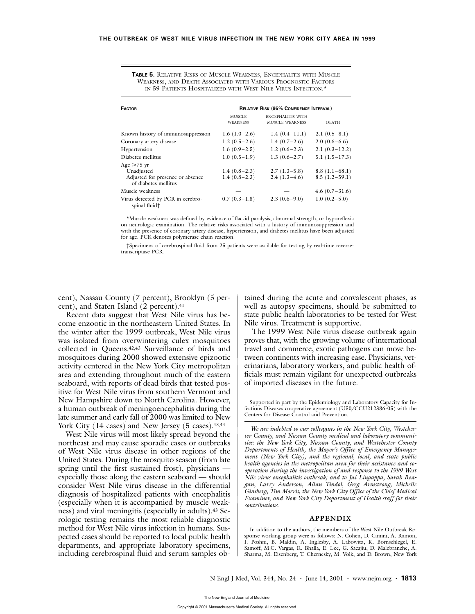| <b>FACTOR</b>                                                                              | <b>RELATIVE RISK (95% CONFIDENCE INTERVAL)</b> |                                                    |                                    |  |
|--------------------------------------------------------------------------------------------|------------------------------------------------|----------------------------------------------------|------------------------------------|--|
|                                                                                            | <b>MUSCLE</b><br><b>WEAKNESS</b>               | <b>ENCEPHALITIS WITH</b><br><b>MUSCLE WEAKNESS</b> | <b>DEATH</b>                       |  |
| Known history of immunosuppression                                                         | $1.6(1.0-2.6)$                                 | $1.4(0.4-11.1)$                                    | $2.1(0.5-8.1)$                     |  |
| Coronary artery disease                                                                    | $1.2(0.5-2.6)$                                 | $1.4(0.7-2.6)$                                     | $2.0(0.6-6.6)$                     |  |
| Hypertension                                                                               | $1.6(0.9-2.5)$                                 | $1.2(0.6-2.3)$                                     | $2.1(0.3-12.2)$                    |  |
| Diabetes mellitus                                                                          | $1.0(0.5-1.9)$                                 | $1.3(0.6-2.7)$                                     | $5.1(1.5-17.3)$                    |  |
| Age $\geq 75$ yr<br>Unadjusted<br>Adjusted for presence or absence<br>of diabetes mellitus | $1.4(0.8-2.3)$<br>$1.4(0.8-2.3)$               | $2.7(1.3-5.8)$<br>$2.4(1.3-4.6)$                   | $8.8(1.1-68.1)$<br>$8.5(1.2-59.1)$ |  |
| Muscle weakness                                                                            |                                                |                                                    | $4.6(0.7-31.6)$                    |  |
| Virus detected by PCR in cerebro-<br>spinal fluid†                                         | $0.7(0.3-1.8)$                                 | $2.3(0.6-9.0)$                                     | $1.0(0.2-5.0)$                     |  |

**TABLE 5.** RELATIVE RISKS OF MUSCLE WEAKNESS, ENCEPHALITIS WITH MUSCLE WEAKNESS, AND DEATH ASSOCIATED WITH VARIOUS PROGNOSTIC FACTORS IN 59 PATIENTS HOSPITALIZED WITH WEST NILE VIRUS INFECTION.\*

\*Muscle weakness was defined by evidence of flaccid paralysis, abnormal strength, or hyporeflexia on neurologic examination. The relative risks associated with a history of immunosuppression and with the presence of coronary artery disease, hypertension, and diabetes mellitus have been adjusted for age. PCR denotes polymerase chain reaction.

†Specimens of cerebrospinal fluid from 25 patients were available for testing by real-time reversetranscriptase PCR.

cent), Nassau County (7 percent), Brooklyn (5 percent), and Staten Island (2 percent).<sup>41</sup>

Recent data suggest that West Nile virus has become enzootic in the northeastern United States. In the winter after the 1999 outbreak, West Nile virus was isolated from overwintering culex mosquitoes collected in Queens.42,43 Surveillance of birds and mosquitoes during 2000 showed extensive epizootic activity centered in the New York City metropolitan area and extending throughout much of the eastern seaboard, with reports of dead birds that tested positive for West Nile virus from southern Vermont and New Hampshire down to North Carolina. However, a human outbreak of meningoencephalitis during the late summer and early fall of 2000 was limited to New York City (14 cases) and New Jersey (5 cases).<sup>43,44</sup>

West Nile virus will most likely spread beyond the northeast and may cause sporadic cases or outbreaks of West Nile virus disease in other regions of the United States. During the mosquito season (from late spring until the first sustained frost), physicians especially those along the eastern seaboard — should consider West Nile virus disease in the differential diagnosis of hospitalized patients with encephalitis (especially when it is accompanied by muscle weakness) and viral meningitis (especially in adults).43 Serologic testing remains the most reliable diagnostic method for West Nile virus infection in humans. Suspected cases should be reported to local public health departments, and appropriate laboratory specimens, including cerebrospinal fluid and serum samples obtained during the acute and convalescent phases, as well as autopsy specimens, should be submitted to state public health laboratories to be tested for West Nile virus. Treatment is supportive.

The 1999 West Nile virus disease outbreak again proves that, with the growing volume of international travel and commerce, exotic pathogens can move between continents with increasing ease. Physicians, veterinarians, laboratory workers, and public health officials must remain vigilant for unexpected outbreaks of imported diseases in the future.

Supported in part by the Epidemiology and Laboratory Capacity for Infectious Diseases cooperative agreement (U50/CCU212386-05) with the Centers for Disease Control and Prevention.

*We are indebted to our colleagues in the New York City, Westchester County, and Nassau County medical and laboratory communities: the New York City, Nassau County, and Westchester County Departments of Health, the Mayor's Office of Emergency Management (New York City), and the regional, local, and state public health agencies in the metropolitan area for their assistance and cooperation during the investigation of and response to the 1999 West Nile virus encephalitis outbreak; and to Jai Lingappa, Sarah Reagan, Larry Anderson, Allan Tindol, Greg Armstrong, Michelle Ginsberg, Tim Morris, the New York City Office of the Chief Medical Examiner, and New York City Department of Health staff for their contributions.*

#### **APPENDIX**

In addition to the authors, the members of the West Nile Outbreak Response working group were as follows: N. Cohen, D. Cimini, A. Ramon, I. Poshni, B. Maldin, A. Inglesby, A. Labowitz, K. Bornschlegel, E. Samoff, M.C. Vargas, R. Bhalla, E. Lee, G. Sacajiu, D. Malebranche, A. Sharma, M. Eisenberg, T. Chernesky, M. Volk, and D. Brown, New York